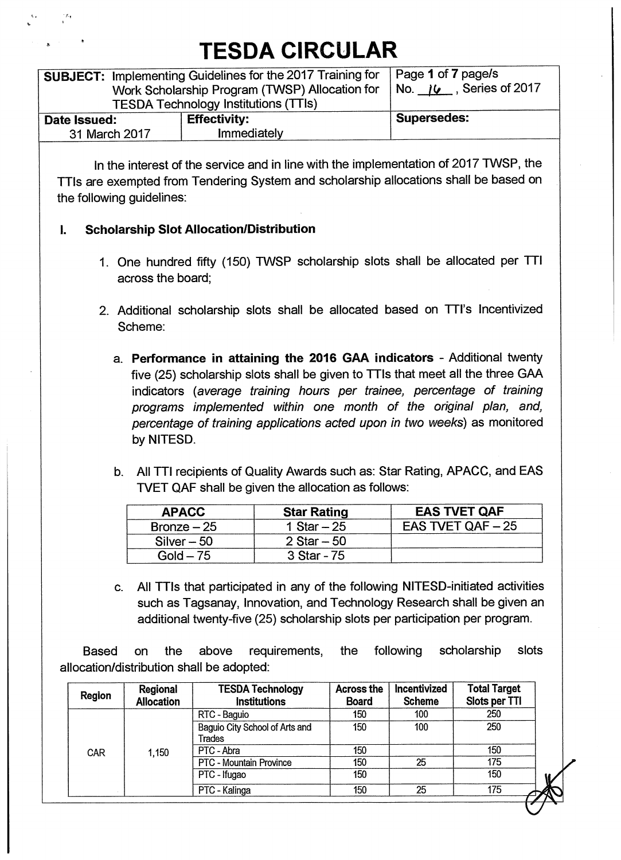| <b>SUBJECT: Implementing Guidelines for the 2017 Training for</b><br>Work Scholarship Program (TWSP) Allocation for<br><b>TESDA Technology Institutions (TTIs)</b> | Page 1 of 7 page/s<br>Series of 2017<br>$NO.$ 16 |                    |
|--------------------------------------------------------------------------------------------------------------------------------------------------------------------|--------------------------------------------------|--------------------|
| Date Issued:<br>31 March 2017                                                                                                                                      | <b>Effectivity:</b><br>Immediately               | <b>Supersedes:</b> |
|                                                                                                                                                                    |                                                  |                    |

**In the interest of the service and in line with the implementation of 2017 TWSP, the TTIs are exempted from Tendering System and scholarship allocations shall be based on the following guidelines:** 

#### **L Scholarship Slot Allocation/Distribution**

- **1. One hundred fifty (150) TWSP scholarship slots shall be allocated per TTI across the board;**
- **2. Additional scholarship slots shall be allocated based on TTI's Incentivized Scheme:** 
	- **a. Performance in attaining the 2016 GAA indicators Additional twenty five (25) scholarship slots shall be given to TTIs that meet all the three GAA indicators** *(average training hours per trainee, percentage of training programs implemented within one month of the original plan, and, percentage of training applications acted upon in two weeks)* **as monitored by NITESD.**
	- **b. All TTI recipients of Quality Awards such as: Star Rating, APACC, and EAS WET QAF shall be given the allocation as follows:**

| <b>APACC</b>  | <b>Star Rating</b> | <b>EAS TVET QAF</b>                  |
|---------------|--------------------|--------------------------------------|
| Bronze $-25$  | 1 Star $-25$       | <b>EAS TVET QAF <math>-25</math></b> |
| $Silver - 50$ | $2$ Star $-50$     |                                      |
| Gold $-75$    | 3 Star - 75        |                                      |

**c. All TTIs that participated in any of the following NITESD-initiated activities such as Tagsanay, Innovation, and Technology Research shall be given an additional twenty-five (25) scholarship slots per participation per program.** 

**Based on the above requirements, the following scholarship slots allocation/distribution shall be adopted:** 

| Region     | Regional<br><b>Allocation</b> | <b>TESDA Technology</b><br><b>Institutions</b> | <b>Across the</b><br><b>Board</b> | Incentivized<br><b>Scheme</b> | <b>Total Target</b><br>Slots per TTI |
|------------|-------------------------------|------------------------------------------------|-----------------------------------|-------------------------------|--------------------------------------|
|            |                               | RTC - Baguio                                   | 150                               | 100                           | 250                                  |
|            | 1,150                         | Baguio City School of Arts and<br>Trades       | 150                               | 100                           | 250                                  |
| <b>CAR</b> |                               | PTC - Abra                                     | 150                               |                               | 150                                  |
|            |                               | PTC - Mountain Province                        | 150                               | 25                            | 175                                  |
|            |                               | PTC - Ifugao                                   | 150                               |                               | 150                                  |
|            |                               | PTC - Kalinga                                  | 150                               | 25                            | 175                                  |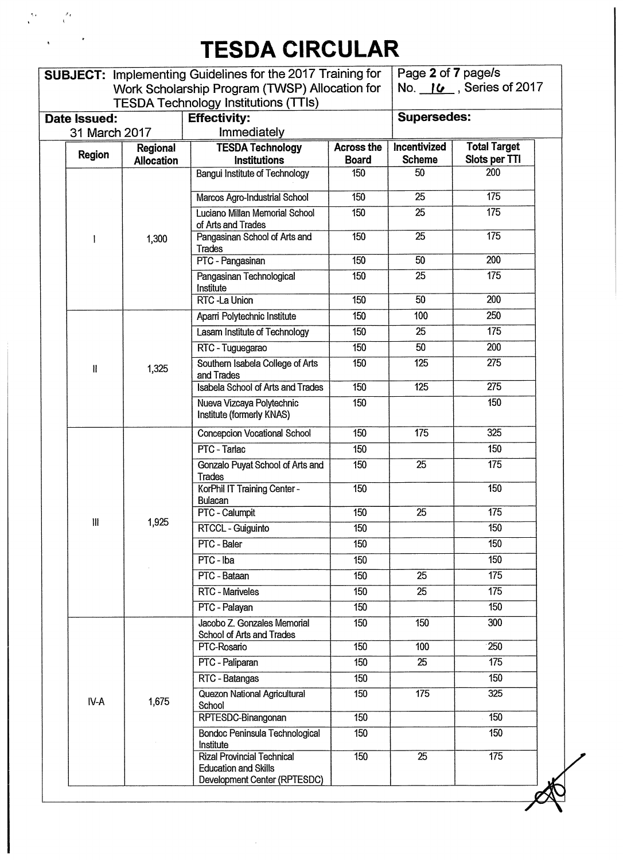$\frac{d\mathbf{r}}{d\mathbf{r}} = \frac{d\mathbf{r}}{d\mathbf{r}}$ 

 $\ddot{\phantom{a}}$ 

 $\sim 10^{11}$ 

|  |                                    |                   | <b>SUBJECT: Implementing Guidelines for the 2017 Training for</b>                                |                     | Page 2 of 7 page/s  |                        |
|--|------------------------------------|-------------------|--------------------------------------------------------------------------------------------------|---------------------|---------------------|------------------------|
|  |                                    |                   | Work Scholarship Program (TWSP) Allocation for<br><b>TESDA Technology Institutions (TTIs)</b>    |                     |                     | No. 16, Series of 2017 |
|  | Date Issued:                       |                   | <b>Effectivity:</b>                                                                              |                     | <b>Supersedes:</b>  |                        |
|  | 31 March 2017                      |                   | Immediately                                                                                      |                     |                     |                        |
|  | <b>Region</b>                      | Regional          | <b>TESDA Technology</b>                                                                          | <b>Across the</b>   | Incentivized        | <b>Total Target</b>    |
|  |                                    | <b>Allocation</b> | <b>Institutions</b>                                                                              | <b>Board</b><br>150 | <b>Scheme</b><br>50 | Slots per TTI<br>200   |
|  |                                    |                   | <b>Bangui Institute of Technology</b>                                                            |                     |                     |                        |
|  |                                    |                   | Marcos Agro-Industrial School                                                                    | 150                 | 25                  | 175                    |
|  |                                    |                   | Luciano Millan Memorial School<br>of Arts and Trades                                             | 150                 | 25                  | 175                    |
|  |                                    | 1,300             | Pangasinan School of Arts and<br>Trades                                                          | 150                 | 25                  | 175                    |
|  |                                    |                   | PTC - Pangasinan                                                                                 | 150                 | 50                  | 200                    |
|  |                                    |                   | Pangasinan Technological<br>Institute                                                            | 150                 | 25                  | 175                    |
|  |                                    |                   | <b>RTC</b> - La Union                                                                            | 150                 | 50                  | 200                    |
|  |                                    |                   | Aparri Polytechnic Institute                                                                     | 150                 | 100                 | 250                    |
|  |                                    |                   | Lasam Institute of Technology                                                                    | 150                 | 25                  | 175                    |
|  |                                    |                   | RTC - Tuguegarao                                                                                 | 150                 | $\overline{50}$     | 200                    |
|  | $\mathbf{I}$                       | 1,325             | Southern Isabela College of Arts<br>and Trades                                                   | 150                 | 125                 | $\overline{275}$       |
|  |                                    |                   | <b>Isabela School of Arts and Trades</b>                                                         | 150                 | 125                 | $\overline{275}$       |
|  |                                    |                   | Nueva Vizcaya Polytechnic<br>Institute (formerly KNAS)                                           | 150                 |                     | 150                    |
|  |                                    |                   | Concepcion Vocational School                                                                     | 150                 | 175                 | 325                    |
|  |                                    |                   | PTC - Tarlac                                                                                     | 150                 |                     | 150                    |
|  |                                    |                   | Gonzalo Puyat School of Arts and<br>Trades                                                       | 150                 | 25                  | 175                    |
|  |                                    |                   | KorPhil IT Training Center -<br><b>Bulacan</b>                                                   | 150                 |                     | 150                    |
|  | $\ensuremath{\mathsf{III}}\xspace$ |                   | PTC - Calumpit                                                                                   | 150                 | 25                  | $\overline{175}$       |
|  |                                    | 1,925             | RTCCL - Guiguinto                                                                                | 150                 |                     | 150                    |
|  |                                    |                   | PTC - Baler                                                                                      | 150                 |                     | 150                    |
|  |                                    |                   | PTC - Iba                                                                                        | 150                 |                     | 150                    |
|  |                                    |                   | PTC - Bataan                                                                                     | 150                 | 25                  | 175                    |
|  |                                    |                   | RTC - Mariveles                                                                                  | 150                 | 25                  | 175                    |
|  |                                    |                   | PTC - Palayan                                                                                    | 150                 |                     | 150                    |
|  |                                    |                   | Jacobo Z. Gonzales Memorial<br>School of Arts and Trades                                         | 150                 | 150                 | 300                    |
|  |                                    |                   | PTC-Rosario                                                                                      | 150                 | 100                 | 250                    |
|  |                                    |                   | PTC - Paliparan                                                                                  | 150                 | 25                  | 175                    |
|  |                                    |                   | RTC - Batangas                                                                                   | 150                 |                     | 150                    |
|  | IV-A                               | 1,675             | Quezon National Agricultural<br>School                                                           | 150                 | 175                 | 325                    |
|  |                                    |                   | RPTESDC-Binangonan                                                                               | 150                 |                     | 150                    |
|  |                                    |                   | Bondoc Peninsula Technological<br>Institute                                                      | 150                 |                     | 150                    |
|  |                                    |                   | <b>Rizal Provincial Technical</b><br><b>Education and Skills</b><br>Development Center (RPTESDC) | 150                 | 25                  | $\overline{175}$       |

 $\hat{\mathcal{A}}$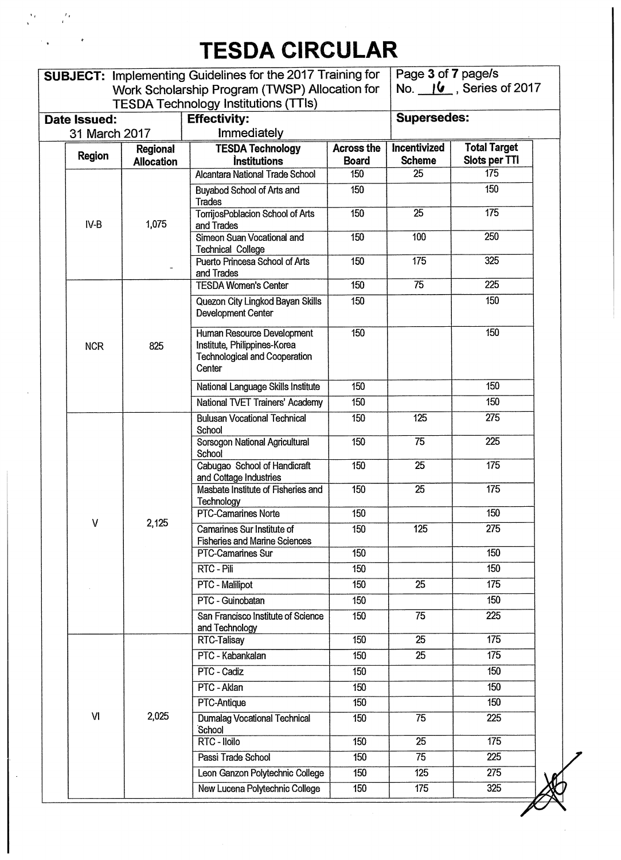$\frac{1}{2}$ 

 $\sim$   $_{\bullet}$ 

 $\frac{d}{dt} \left( \frac{d}{dt} \right)$ 

|                               |               |                   | <b>SUBJECT: Implementing Guidelines for the 2017 Training for</b>                                            |                   | Page 3 of 7 page/s |                           |
|-------------------------------|---------------|-------------------|--------------------------------------------------------------------------------------------------------------|-------------------|--------------------|---------------------------|
|                               |               |                   | Work Scholarship Program (TWSP) Allocation for                                                               |                   |                    | No. $16$ , Series of 2017 |
|                               |               |                   | <b>TESDA Technology Institutions (TTIs)</b>                                                                  |                   | <b>Supersedes:</b> |                           |
| Date Issued:<br>31 March 2017 |               |                   | <b>Effectivity:</b><br>Immediately                                                                           |                   |                    |                           |
|                               |               | Regional          | <b>TESDA Technology</b>                                                                                      | <b>Across the</b> | Incentivized       | <b>Total Target</b>       |
|                               | <b>Region</b> | <b>Allocation</b> | <i><b>Institutions</b></i>                                                                                   | <b>Board</b>      | <b>Scheme</b>      | Slots per TTI             |
|                               |               |                   | Alcantara National Trade School                                                                              | 150               | 25                 | 175                       |
|                               |               |                   | Buyabod School of Arts and<br>Trades                                                                         | 150               |                    | 150                       |
|                               | $IV-B$        | 1,075             | TorrijosPoblacion School of Arts<br>and Trades                                                               | 150               | $\overline{25}$    | 175                       |
|                               |               |                   | Simeon Suan Vocational and<br><b>Technical College</b>                                                       | 150               | 100                | 250                       |
|                               |               |                   | Puerto Princesa School of Arts<br>and Trades                                                                 | 150               | 175                | 325                       |
|                               |               |                   | <b>TESDA Women's Center</b>                                                                                  | 150               | $\overline{75}$    | 225                       |
|                               |               |                   | Quezon City Lingkod Bayan Skills<br>Development Center                                                       | 150               |                    | 150                       |
|                               | <b>NCR</b>    | 825               | Human Resource Development<br>Institute, Philippines-Korea<br><b>Technological and Cooperation</b><br>Center | 150               |                    | 150                       |
|                               |               |                   | National Language Skills Institute                                                                           | 150               |                    | 150                       |
|                               |               |                   | National TVET Trainers' Academy                                                                              | 150               |                    | 150                       |
|                               |               |                   | <b>Bulusan Vocational Technical</b><br>School                                                                | 150               | 125                | 275                       |
|                               |               |                   | Sorsogon National Agricultural<br>School                                                                     | 150               | 75                 | 225                       |
|                               |               |                   | Cabugao School of Handicraft<br>and Cottage Industries                                                       | 150               | 25                 | 175                       |
|                               |               |                   | Masbate Institute of Fisheries and<br>Technology                                                             | 150               | 25                 | 175                       |
|                               | $\mathsf{V}$  |                   | <b>PTC-Camarines Norte</b>                                                                                   | 150               |                    | 150                       |
|                               |               | 2,125             | Camarines Sur Institute of<br><b>Fisheries and Marine Sciences</b>                                           | 150               | 125                | 275                       |
|                               |               |                   | PTC-Camarines Sur                                                                                            | 150               |                    | 150                       |
|                               |               |                   | RTC - Pili                                                                                                   | 150               |                    | 150                       |
|                               |               |                   | <b>PTC</b> - Malilipot                                                                                       | 150               | $\overline{25}$    | 175                       |
|                               |               |                   | PTC - Guinobatan                                                                                             | 150               |                    | 150                       |
|                               |               |                   | San Francisco Institute of Science<br>and Technology                                                         | 150               | 75                 | $\overline{225}$          |
|                               |               |                   | RTC-Talisay                                                                                                  | 150               | $\overline{25}$    | $\overline{175}$          |
|                               |               |                   | PTC - Kabankalan                                                                                             | 150               | 25                 | 175                       |
|                               |               |                   | PTC - Cadiz                                                                                                  | 150               |                    | 150                       |
|                               |               |                   | PTC - Aklan                                                                                                  | 150               |                    | 150                       |
|                               |               |                   | PTC-Antique                                                                                                  | 150               |                    | 150                       |
|                               | VI            | 2,025             | <b>Dumalag Vocational Technical</b><br>School                                                                | 150               | $\overline{75}$    | $\overline{225}$          |
|                               |               |                   | RTC - Iloilo                                                                                                 | 150               | $\overline{25}$    | 175                       |
|                               |               |                   | Passi Trade School                                                                                           | 150               | 75                 | 225                       |
|                               |               |                   | Leon Ganzon Polytechnic College                                                                              | 150               | $\overline{125}$   | 275                       |
|                               |               |                   | New Lucena Polytechnic College                                                                               | 150               | 175                | 325                       |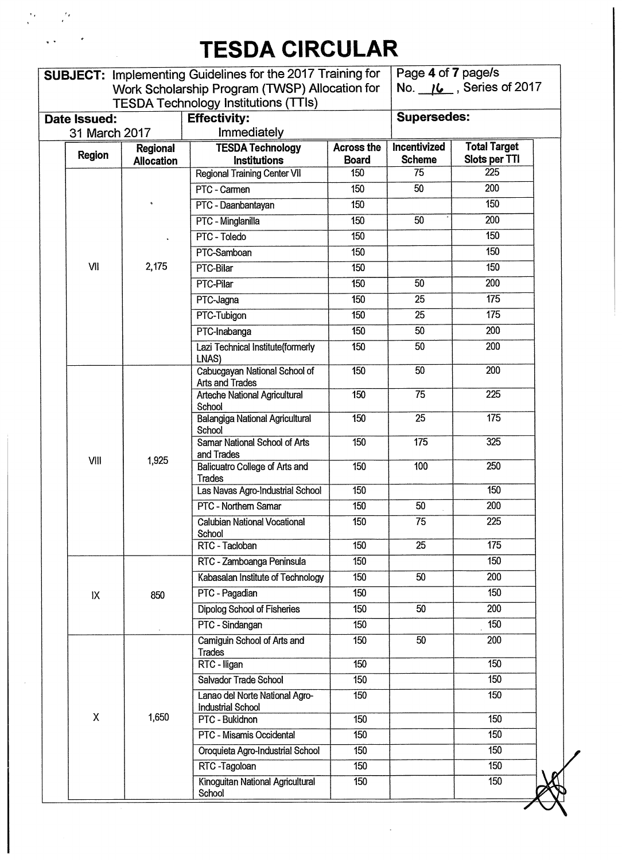$\sim 2\pi$ 

 $\mathcal{F}_{\mathcal{F}}$ 

|  |               |                               | <b>SUBJECT: Implementing Guidelines for the 2017 Training for</b> |                                   | Page 4 of 7 page/s            |                                      |
|--|---------------|-------------------------------|-------------------------------------------------------------------|-----------------------------------|-------------------------------|--------------------------------------|
|  |               |                               | Work Scholarship Program (TWSP) Allocation for                    |                                   |                               | No. $16$ , Series of 2017            |
|  |               |                               | <b>TESDA Technology Institutions (TTIs)</b>                       |                                   |                               |                                      |
|  | Date Issued:  |                               | <b>Effectivity:</b>                                               |                                   | <b>Supersedes:</b>            |                                      |
|  | 31 March 2017 |                               | Immediately                                                       |                                   |                               |                                      |
|  | <b>Region</b> | Regional<br><b>Allocation</b> | <b>TESDA Technology</b><br><b>Institutions</b>                    | <b>Across the</b><br><b>Board</b> | Incentivized<br><b>Scheme</b> | <b>Total Target</b><br>Slots per TTI |
|  |               |                               | <b>Regional Training Center VII</b>                               | 150                               | 75                            | 225                                  |
|  |               |                               | PTC - Carmen                                                      | 150                               | 50                            | 200                                  |
|  |               |                               | PTC - Daanbantayan                                                | 150                               |                               | 150                                  |
|  |               |                               | PTC - Minglanilla                                                 | 150                               | 50                            | 200                                  |
|  |               |                               | PTC - Toledo                                                      | 150                               |                               | 150                                  |
|  |               |                               | PTC-Samboan                                                       | 150                               |                               | 150                                  |
|  | VII           | 2,175                         | PTC-Bilar                                                         | 150                               |                               | 150                                  |
|  |               |                               | PTC-Pilar                                                         | 150                               | 50                            | 200                                  |
|  |               |                               | PTC-Jagna                                                         | 150                               | 25                            | 175                                  |
|  |               |                               | PTC-Tubigon                                                       | 150                               | 25                            | 175                                  |
|  |               |                               | PTC-Inabanga                                                      | 150                               | 50                            | 200                                  |
|  |               |                               | Lazi Technical Institute(formerly<br>LNAS)                        | 150                               | 50                            | 200                                  |
|  |               | 1,925                         | Cabucgayan National School of<br><b>Arts and Trades</b>           | 150                               | 50                            | 200                                  |
|  |               |                               | <b>Arteche National Agricultural</b><br>School                    | 150                               | 75                            | $\overline{225}$                     |
|  |               |                               | <b>Balangiga National Agricultural</b><br>School                  | 150                               | $\overline{25}$               | 175                                  |
|  | VIII          |                               | <b>Samar National School of Arts</b><br>and Trades                | 150                               | 175                           | 325                                  |
|  |               |                               | Balicuatro College of Arts and<br>Trades                          | 150                               | 100                           | $\overline{250}$                     |
|  |               |                               | Las Navas Agro-Industrial School                                  | 150                               |                               | 150                                  |
|  |               |                               | PTC - Northern Samar                                              | 150                               | 50                            | 200                                  |
|  |               |                               | <b>Calubian National Vocational</b><br>School                     | $\overline{150}$                  | $\overline{75}$               | $\overline{225}$                     |
|  |               |                               | RTC - Tacloban                                                    | 150                               | 25                            | 175                                  |
|  |               |                               | RTC - Zamboanga Peninsula                                         | 150                               |                               | 150                                  |
|  |               |                               | Kabasalan Institute of Technology                                 | 150                               | 50                            | 200                                  |
|  | IX            | 850                           | PTC - Pagadian                                                    | 150                               |                               | 150                                  |
|  |               |                               | Dipolog School of Fisheries                                       | 150                               | 50                            | 200                                  |
|  |               |                               | PTC - Sindangan                                                   | 150                               |                               | 150                                  |
|  |               |                               | Camiguin School of Arts and<br><b>Trades</b>                      | 150                               | 50                            | 200                                  |
|  |               |                               | RTC - Iligan                                                      | 150                               |                               | 150                                  |
|  |               |                               | Salvador Trade School                                             | 150                               |                               | 150                                  |
|  |               |                               | Lanao del Norte National Agro-<br><b>Industrial School</b>        | 150                               |                               | 150                                  |
|  | χ             | 1,650                         | PTC - Bukidnon                                                    | 150                               |                               | 150                                  |
|  |               |                               | PTC - Misamis Occidental                                          | 150                               |                               | 150                                  |
|  |               |                               | Oroquieta Agro-Industrial School                                  | 150                               |                               | 150                                  |
|  |               |                               | RTC-Tagoloan                                                      | 150                               |                               | 150                                  |
|  |               |                               | Kinoguitan National Agricultural<br>School                        | 150                               |                               | 150                                  |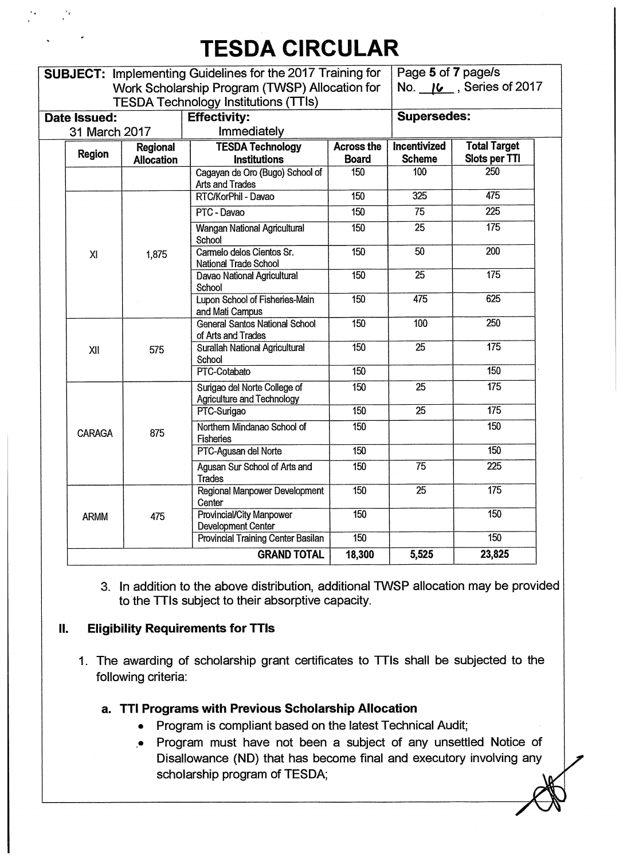| Date Issued:<br>31 March 2017<br>Regional<br><b>Region</b><br><b>Allocation</b> | Work Scholarship Program (TWSP) Allocation for<br><b>TESDA Technology Institutions (TTIs)</b><br><b>Effectivity:</b><br>Immediately<br><b>TESDA Technology</b><br><b>Institutions</b><br>Cagayan de Oro (Bugo) School of<br><b>Arts and Trades</b><br>RTC/KorPhil - Davao | <b>Across the</b><br><b>Board</b><br>150 | <b>Supersedes:</b><br>Incentivized | No. 16, Series of 2017 |  |
|---------------------------------------------------------------------------------|---------------------------------------------------------------------------------------------------------------------------------------------------------------------------------------------------------------------------------------------------------------------------|------------------------------------------|------------------------------------|------------------------|--|
|                                                                                 |                                                                                                                                                                                                                                                                           |                                          |                                    |                        |  |
|                                                                                 |                                                                                                                                                                                                                                                                           |                                          |                                    |                        |  |
|                                                                                 |                                                                                                                                                                                                                                                                           |                                          |                                    |                        |  |
|                                                                                 |                                                                                                                                                                                                                                                                           |                                          |                                    | <b>Total Target</b>    |  |
|                                                                                 |                                                                                                                                                                                                                                                                           |                                          | <b>Scheme</b>                      | Slots per TTI          |  |
|                                                                                 |                                                                                                                                                                                                                                                                           |                                          | 100                                | 250                    |  |
|                                                                                 |                                                                                                                                                                                                                                                                           | 150                                      | 325                                | 475                    |  |
|                                                                                 | PTC - Davao                                                                                                                                                                                                                                                               | 150                                      | 75                                 | 225                    |  |
|                                                                                 | <b>Wangan National Agricultural</b><br>School                                                                                                                                                                                                                             | 150                                      | $\overline{25}$                    | 175                    |  |
| XI<br>1,875                                                                     | Carmelo delos Cientos Sr.<br>National Trade School                                                                                                                                                                                                                        | 150                                      | $\overline{50}$                    | 200                    |  |
|                                                                                 | Davao National Agricultural<br>School                                                                                                                                                                                                                                     | 150                                      | $\overline{25}$                    | 175                    |  |
|                                                                                 | Lupon School of Fisheries-Main<br>and Mati Campus                                                                                                                                                                                                                         | $\overline{150}$                         | 475                                | 625                    |  |
|                                                                                 | <b>General Santos National School</b><br>of Arts and Trades                                                                                                                                                                                                               | 150                                      | 100                                | 250                    |  |
| 575<br>XII                                                                      | Surallah National Agricultural<br>School                                                                                                                                                                                                                                  | 150                                      | 25                                 | 175                    |  |
|                                                                                 | PTC-Cotabato                                                                                                                                                                                                                                                              | 150                                      |                                    | 150                    |  |
|                                                                                 | Surigao del Norte College of<br><b>Agriculture and Technology</b>                                                                                                                                                                                                         | $\overline{150}$                         | 25                                 | 175                    |  |
|                                                                                 | PTC-Surigao                                                                                                                                                                                                                                                               | 150                                      | $\overline{25}$                    | 175                    |  |
| 875<br><b>CARAGA</b>                                                            | Northern Mindanao School of<br><b>Fisheries</b>                                                                                                                                                                                                                           | 150                                      |                                    | 150                    |  |
|                                                                                 | PTC-Agusan del Norte                                                                                                                                                                                                                                                      | 150                                      |                                    | 150                    |  |
|                                                                                 | Agusan Sur School of Arts and<br><b>Trades</b>                                                                                                                                                                                                                            | 150                                      | 75                                 | 225                    |  |
|                                                                                 | Regional Manpower Development<br>Center                                                                                                                                                                                                                                   | $\overline{150}$                         | $\overline{25}$                    | 175                    |  |
| 475<br><b>ARMM</b>                                                              | <b>Provincial/City Manpower</b><br>Development Center                                                                                                                                                                                                                     | 150                                      |                                    | 150                    |  |
|                                                                                 | <b>Provincial Training Center Basilan</b>                                                                                                                                                                                                                                 | $\overline{150}$                         |                                    | 150                    |  |
|                                                                                 | <b>GRAND TOTAL</b>                                                                                                                                                                                                                                                        | 18,300                                   | 5,525                              | 23,825                 |  |

**3. In addition to the above distribution, additional TWSP allocation may be provided to the TTIs subject to their absorptive capacity.** 

#### **11. Eligibility Requirements for TTIs**

**1. The awarding of scholarship grant certificates to TTIs shall be subjected to the following criteria:** 

### **a. TTI Programs with Previous Scholarship Allocation**

- **Program is compliant based on the latest Technical Audit;**
- **.• Program must have not been a subject of any unsettled Notice of Disallowance (ND) that has become final and executory involving any scholarship program of TESDA;**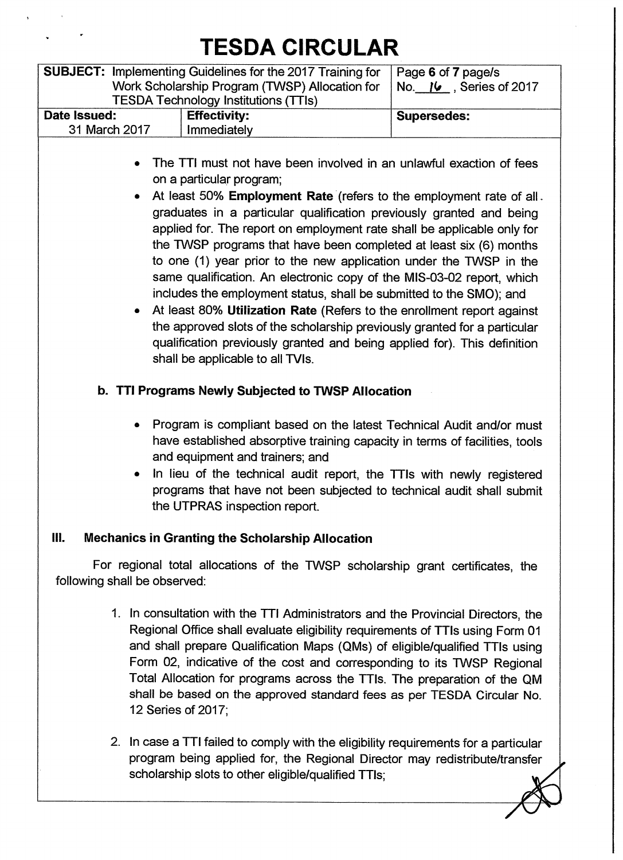|                | <b>SUBJECT:</b> Implementing Guidelines for the 2017 Training for<br>Work Scholarship Program (TWSP) Allocation for<br><b>TESDA Technology Institutions (TTIs)</b>                                                                                                                                                                                                                                                                                                                                                                                                                                                                                                                                                                                                                                                                                                                           | Page 6 of 7 page/s<br>No. 16, Series of 2017 |  |  |  |  |
|----------------|----------------------------------------------------------------------------------------------------------------------------------------------------------------------------------------------------------------------------------------------------------------------------------------------------------------------------------------------------------------------------------------------------------------------------------------------------------------------------------------------------------------------------------------------------------------------------------------------------------------------------------------------------------------------------------------------------------------------------------------------------------------------------------------------------------------------------------------------------------------------------------------------|----------------------------------------------|--|--|--|--|
| Date Issued:   | <b>Effectivity:</b>                                                                                                                                                                                                                                                                                                                                                                                                                                                                                                                                                                                                                                                                                                                                                                                                                                                                          | <b>Supersedes:</b>                           |  |  |  |  |
| 31 March 2017  | Immediately                                                                                                                                                                                                                                                                                                                                                                                                                                                                                                                                                                                                                                                                                                                                                                                                                                                                                  |                                              |  |  |  |  |
| ٠<br>$\bullet$ | The TTI must not have been involved in an unlawful exaction of fees<br>on a particular program;<br>At least 50% Employment Rate (refers to the employment rate of all.<br>graduates in a particular qualification previously granted and being<br>applied for. The report on employment rate shall be applicable only for<br>the TWSP programs that have been completed at least six (6) months<br>to one (1) year prior to the new application under the TWSP in the<br>same qualification. An electronic copy of the MIS-03-02 report, which<br>includes the employment status, shall be submitted to the SMO); and<br>At least 80% Utilization Rate (Refers to the enrollment report against<br>the approved slots of the scholarship previously granted for a particular<br>qualification previously granted and being applied for). This definition<br>shall be applicable to all TVIs. |                                              |  |  |  |  |
|                | b. TTI Programs Newly Subjected to TWSP Allocation                                                                                                                                                                                                                                                                                                                                                                                                                                                                                                                                                                                                                                                                                                                                                                                                                                           |                                              |  |  |  |  |
| ۰<br>٠         | Program is compliant based on the latest Technical Audit and/or must<br>have established absorptive training capacity in terms of facilities, tools<br>and equipment and trainers; and<br>In lieu of the technical audit report, the TTIs with newly registered<br>programs that have not been subjected to technical audit shall submit<br>the UTPRAS inspection report.                                                                                                                                                                                                                                                                                                                                                                                                                                                                                                                    |                                              |  |  |  |  |
| <b>III.</b>    | <b>Mechanics in Granting the Scholarship Allocation</b>                                                                                                                                                                                                                                                                                                                                                                                                                                                                                                                                                                                                                                                                                                                                                                                                                                      |                                              |  |  |  |  |
|                | For regional total allocations of the TWSP scholarship grant certificates, the<br>following shall be observed:                                                                                                                                                                                                                                                                                                                                                                                                                                                                                                                                                                                                                                                                                                                                                                               |                                              |  |  |  |  |
|                | 1. In consultation with the TTI Administrators and the Provincial Directors, the<br>Regional Office shall evaluate eligibility requirements of TTIs using Form 01<br>and shall prepare Qualification Maps (QMs) of eligible/qualified TTIs using<br>Form 02, indicative of the cost and corresponding to its TWSP Regional<br>Total Allocation for programs across the TTIs. The preparation of the QM                                                                                                                                                                                                                                                                                                                                                                                                                                                                                       |                                              |  |  |  |  |

**2. In case a TTI failed to comply with the eligibility requirements for a particular program being applied for, the Regional Director may redistribute/transfer scholarship slots to other eligible/qualified TTIs;** 

**12 Series of 2017;** 

**shall be based on the approved standard fees as per TESDA Circular No.**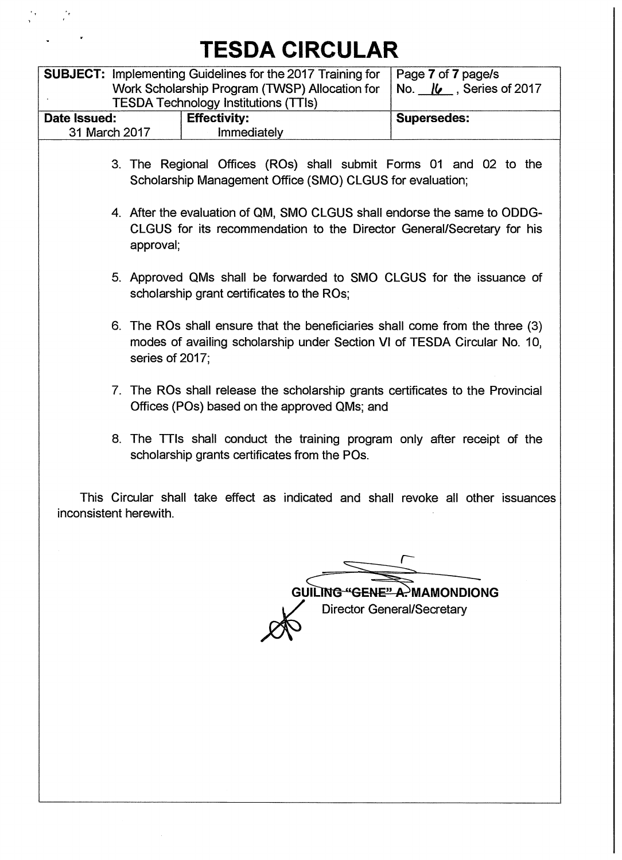$\frac{\partial}{\partial t} \frac{\partial}{\partial x} = \frac{\partial}{\partial x} \frac{\partial}{\partial x} \frac{\partial}{\partial x}$ 

 $\frac{1}{2}$  ,  $\frac{1}{2}$  ,  $\frac{1}{2}$  ,  $\frac{1}{2}$ 

|           |                                         |                                                                                                             | Page 7 of 7 page/s                                                                                                                                                                                                                                                                                                                                                                                                                                                                                                                                                                                                                                                                                                                                                                                                                                                                                                                                                                                                                                             |
|-----------|-----------------------------------------|-------------------------------------------------------------------------------------------------------------|----------------------------------------------------------------------------------------------------------------------------------------------------------------------------------------------------------------------------------------------------------------------------------------------------------------------------------------------------------------------------------------------------------------------------------------------------------------------------------------------------------------------------------------------------------------------------------------------------------------------------------------------------------------------------------------------------------------------------------------------------------------------------------------------------------------------------------------------------------------------------------------------------------------------------------------------------------------------------------------------------------------------------------------------------------------|
|           |                                         |                                                                                                             | No. $16$ , Series of 2017                                                                                                                                                                                                                                                                                                                                                                                                                                                                                                                                                                                                                                                                                                                                                                                                                                                                                                                                                                                                                                      |
|           |                                         |                                                                                                             | <b>Supersedes:</b>                                                                                                                                                                                                                                                                                                                                                                                                                                                                                                                                                                                                                                                                                                                                                                                                                                                                                                                                                                                                                                             |
|           |                                         |                                                                                                             |                                                                                                                                                                                                                                                                                                                                                                                                                                                                                                                                                                                                                                                                                                                                                                                                                                                                                                                                                                                                                                                                |
|           |                                         |                                                                                                             |                                                                                                                                                                                                                                                                                                                                                                                                                                                                                                                                                                                                                                                                                                                                                                                                                                                                                                                                                                                                                                                                |
|           |                                         |                                                                                                             |                                                                                                                                                                                                                                                                                                                                                                                                                                                                                                                                                                                                                                                                                                                                                                                                                                                                                                                                                                                                                                                                |
| approval; |                                         |                                                                                                             |                                                                                                                                                                                                                                                                                                                                                                                                                                                                                                                                                                                                                                                                                                                                                                                                                                                                                                                                                                                                                                                                |
|           |                                         |                                                                                                             |                                                                                                                                                                                                                                                                                                                                                                                                                                                                                                                                                                                                                                                                                                                                                                                                                                                                                                                                                                                                                                                                |
|           |                                         |                                                                                                             |                                                                                                                                                                                                                                                                                                                                                                                                                                                                                                                                                                                                                                                                                                                                                                                                                                                                                                                                                                                                                                                                |
|           |                                         |                                                                                                             |                                                                                                                                                                                                                                                                                                                                                                                                                                                                                                                                                                                                                                                                                                                                                                                                                                                                                                                                                                                                                                                                |
|           |                                         |                                                                                                             |                                                                                                                                                                                                                                                                                                                                                                                                                                                                                                                                                                                                                                                                                                                                                                                                                                                                                                                                                                                                                                                                |
|           |                                         |                                                                                                             |                                                                                                                                                                                                                                                                                                                                                                                                                                                                                                                                                                                                                                                                                                                                                                                                                                                                                                                                                                                                                                                                |
|           | <b>GUI</b>                              |                                                                                                             | <del>'GENE" A.'</del> MAMONDIONG<br><b>Director General/Secretary</b>                                                                                                                                                                                                                                                                                                                                                                                                                                                                                                                                                                                                                                                                                                                                                                                                                                                                                                                                                                                          |
|           | 31 March 2017<br>inconsistent herewith. | <b>TESDA Technology Institutions (TTIs)</b><br><b>Effectivity:</b><br><b>Immediately</b><br>series of 2017; | <b>SUBJECT:</b> Implementing Guidelines for the 2017 Training for<br>Work Scholarship Program (TWSP) Allocation for<br>3. The Regional Offices (ROs) shall submit Forms 01 and 02 to the<br>Scholarship Management Office (SMO) CLGUS for evaluation;<br>4. After the evaluation of QM, SMO CLGUS shall endorse the same to ODDG-<br>CLGUS for its recommendation to the Director General/Secretary for his<br>5. Approved QMs shall be forwarded to SMO CLGUS for the issuance of<br>scholarship grant certificates to the ROs;<br>6. The ROs shall ensure that the beneficiaries shall come from the three (3)<br>modes of availing scholarship under Section VI of TESDA Circular No. 10,<br>7. The ROs shall release the scholarship grants certificates to the Provincial<br>Offices (POs) based on the approved QMs; and<br>8. The TTIs shall conduct the training program only after receipt of the<br>scholarship grants certificates from the POs.<br>This Circular shall take effect as indicated and shall revoke all other issuances<br><b>ING</b> |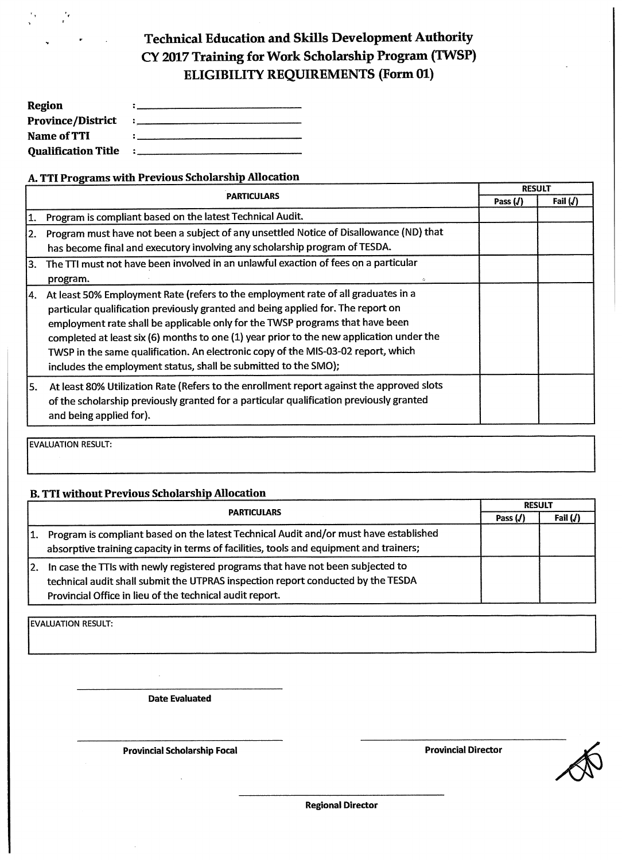### **Technical Education and Skills Development Authority CY 2017 Training for Work Scholarship Program (TWSP) ELIGIBILITY REQUIREMENTS (Form 01)**

| Region                     |  |
|----------------------------|--|
| <b>Province/District</b>   |  |
| Name of TTI                |  |
| <b>Oualification Title</b> |  |

#### **A. TTI Programs with Previous Scholarship Allocation**

|     |                                                                                                                                                                                                                                                                                                                                                                                                                                                                                                            | <b>RESULT</b> |            |
|-----|------------------------------------------------------------------------------------------------------------------------------------------------------------------------------------------------------------------------------------------------------------------------------------------------------------------------------------------------------------------------------------------------------------------------------------------------------------------------------------------------------------|---------------|------------|
|     | <b>PARTICULARS</b>                                                                                                                                                                                                                                                                                                                                                                                                                                                                                         |               | Fail $(J)$ |
| 11. | Program is compliant based on the latest Technical Audit.                                                                                                                                                                                                                                                                                                                                                                                                                                                  |               |            |
| 2.  | Program must have not been a subject of any unsettled Notice of Disallowance (ND) that<br>has become final and executory involving any scholarship program of TESDA.                                                                                                                                                                                                                                                                                                                                       |               |            |
| 3.  | The TTI must not have been involved in an unlawful exaction of fees on a particular<br>program.                                                                                                                                                                                                                                                                                                                                                                                                            |               |            |
| 14. | At least 50% Employment Rate (refers to the employment rate of all graduates in a<br>particular qualification previously granted and being applied for. The report on<br>employment rate shall be applicable only for the TWSP programs that have been<br>completed at least six (6) months to one (1) year prior to the new application under the<br>TWSP in the same qualification. An electronic copy of the MIS-03-02 report, which<br>includes the employment status, shall be submitted to the SMO); |               |            |
| l5. | At least 80% Utilization Rate (Refers to the enrollment report against the approved slots<br>of the scholarship previously granted for a particular qualification previously granted<br>and being applied for).                                                                                                                                                                                                                                                                                            |               |            |

**EVALUATION RESULT:** 

 $\frac{e}{\epsilon}$ 

 $\epsilon$  ,

#### **B. TTI without Previous Scholarship Allocation**

|     | <b>PARTICULARS</b>                                                                                                                                                                                                              |  | <b>RESULT</b> |  |
|-----|---------------------------------------------------------------------------------------------------------------------------------------------------------------------------------------------------------------------------------|--|---------------|--|
|     |                                                                                                                                                                                                                                 |  | Fail $(J)$    |  |
| 1.  | Program is compliant based on the latest Technical Audit and/or must have established<br>absorptive training capacity in terms of facilities, tools and equipment and trainers;                                                 |  |               |  |
| I2. | In case the TTIs with newly registered programs that have not been subjected to<br>technical audit shall submit the UTPRAS inspection report conducted by the TESDA<br>Provincial Office in lieu of the technical audit report. |  |               |  |

**EVALUATION RESULT:** 

**Date Evaluated** 

**Provincial Scholarship Focal** *Provincial Director* **<b>Provincial Director** 



**Regional Director**